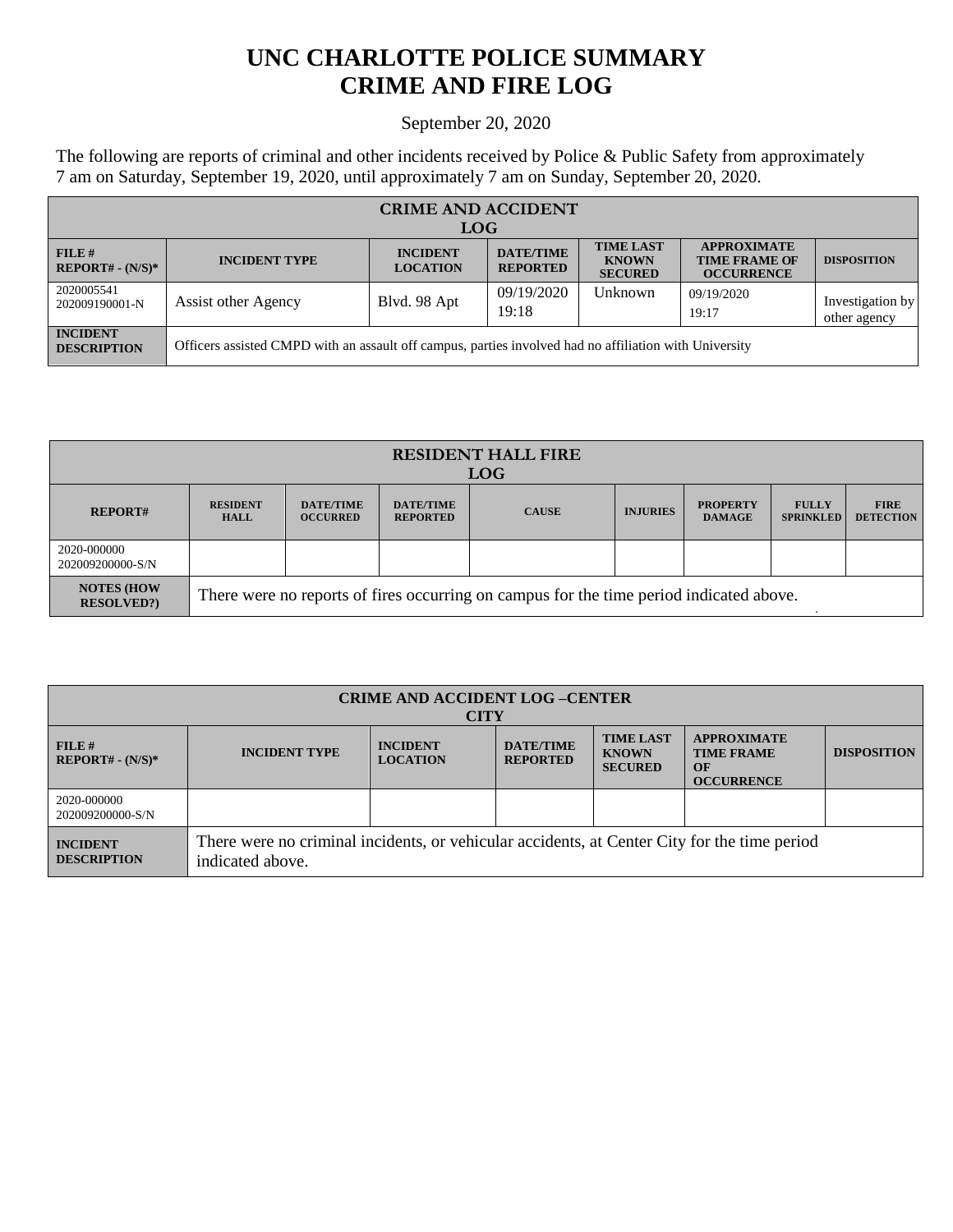## **UNC CHARLOTTE POLICE SUMMARY CRIME AND FIRE LOG**

## September 20, 2020

The following are reports of criminal and other incidents received by Police & Public Safety from approximately 7 am on Saturday, September 19, 2020, until approximately 7 am on Sunday, September 20, 2020.

| <b>CRIME AND ACCIDENT</b>             |                                                                                                        |                                    |                                     |                                                    |                                                                 |                                  |  |  |
|---------------------------------------|--------------------------------------------------------------------------------------------------------|------------------------------------|-------------------------------------|----------------------------------------------------|-----------------------------------------------------------------|----------------------------------|--|--|
| <b>LOG</b>                            |                                                                                                        |                                    |                                     |                                                    |                                                                 |                                  |  |  |
| FILE H<br>$REPORT# - (N/S)*$          | <b>INCIDENT TYPE</b>                                                                                   | <b>INCIDENT</b><br><b>LOCATION</b> | <b>DATE/TIME</b><br><b>REPORTED</b> | <b>TIME LAST</b><br><b>KNOWN</b><br><b>SECURED</b> | <b>APPROXIMATE</b><br><b>TIME FRAME OF</b><br><b>OCCURRENCE</b> | <b>DISPOSITION</b>               |  |  |
| 2020005541<br>202009190001-N          | Assist other Agency                                                                                    | Blvd. 98 Apt                       | 09/19/2020<br>19:18                 | Unknown                                            | 09/19/2020<br>19:17                                             | Investigation by<br>other agency |  |  |
| <b>INCIDENT</b><br><b>DESCRIPTION</b> | Officers assisted CMPD with an assault off campus, parties involved had no affiliation with University |                                    |                                     |                                                    |                                                                 |                                  |  |  |

| <b>RESIDENT HALL FIRE</b><br><b>LOG</b> |                                                                                         |                                     |                                     |              |                 |                                  |                                  |                                 |
|-----------------------------------------|-----------------------------------------------------------------------------------------|-------------------------------------|-------------------------------------|--------------|-----------------|----------------------------------|----------------------------------|---------------------------------|
| <b>REPORT#</b>                          | <b>RESIDENT</b><br>HALL                                                                 | <b>DATE/TIME</b><br><b>OCCURRED</b> | <b>DATE/TIME</b><br><b>REPORTED</b> | <b>CAUSE</b> | <b>INJURIES</b> | <b>PROPERTY</b><br><b>DAMAGE</b> | <b>FULLY</b><br><b>SPRINKLED</b> | <b>FIRE</b><br><b>DETECTION</b> |
| 2020-000000<br>202009200000-S/N         |                                                                                         |                                     |                                     |              |                 |                                  |                                  |                                 |
| <b>NOTES (HOW)</b><br><b>RESOLVED?</b>  | There were no reports of fires occurring on campus for the time period indicated above. |                                     |                                     |              |                 |                                  |                                  |                                 |

| <b>CRIME AND ACCIDENT LOG-CENTER</b><br><b>CITY</b> |                                                                                                                  |                                    |                                     |                                                    |                                                                    |                    |  |
|-----------------------------------------------------|------------------------------------------------------------------------------------------------------------------|------------------------------------|-------------------------------------|----------------------------------------------------|--------------------------------------------------------------------|--------------------|--|
| FILE#<br>$REPORT# - (N/S)*$                         | <b>INCIDENT TYPE</b>                                                                                             | <b>INCIDENT</b><br><b>LOCATION</b> | <b>DATE/TIME</b><br><b>REPORTED</b> | <b>TIME LAST</b><br><b>KNOWN</b><br><b>SECURED</b> | <b>APPROXIMATE</b><br><b>TIME FRAME</b><br>OF<br><b>OCCURRENCE</b> | <b>DISPOSITION</b> |  |
| 2020-000000<br>202009200000-S/N                     |                                                                                                                  |                                    |                                     |                                                    |                                                                    |                    |  |
| <b>INCIDENT</b><br><b>DESCRIPTION</b>               | There were no criminal incidents, or vehicular accidents, at Center City for the time period<br>indicated above. |                                    |                                     |                                                    |                                                                    |                    |  |